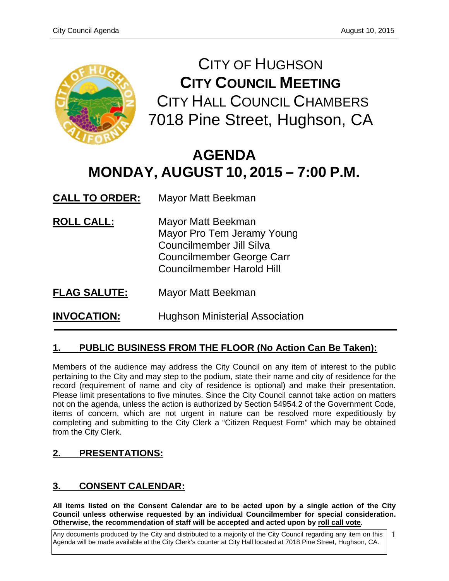

CITY OF HUGHSON **CITY COUNCIL MEETING** CITY HALL COUNCIL CHAMBERS 7018 Pine Street, Hughson, CA

# **AGENDA MONDAY, AUGUST 10, 2015 – 7:00 P.M.**

| <b>CALL TO ORDER:</b> | Mayor Matt Beekman |
|-----------------------|--------------------|
|-----------------------|--------------------|

- **ROLL CALL:** Mayor Matt Beekman Mayor Pro Tem Jeramy Young Councilmember Jill Silva Councilmember George Carr Councilmember Harold Hill
- **FLAG SALUTE:** Mayor Matt Beekman

**INVOCATION:** Hughson Ministerial Association

# **1. PUBLIC BUSINESS FROM THE FLOOR (No Action Can Be Taken):**

Members of the audience may address the City Council on any item of interest to the public pertaining to the City and may step to the podium, state their name and city of residence for the record (requirement of name and city of residence is optional) and make their presentation. Please limit presentations to five minutes. Since the City Council cannot take action on matters not on the agenda, unless the action is authorized by Section 54954.2 of the Government Code, items of concern, which are not urgent in nature can be resolved more expeditiously by completing and submitting to the City Clerk a "Citizen Request Form" which may be obtained from the City Clerk.

# **2. PRESENTATIONS:**

# **3. CONSENT CALENDAR:**

**All items listed on the Consent Calendar are to be acted upon by a single action of the City Council unless otherwise requested by an individual Councilmember for special consideration. Otherwise, the recommendation of staff will be accepted and acted upon by roll call vote.**

Any documents produced by the City and distributed to a majority of the City Council regarding any item on this Agenda will be made available at the City Clerk's counter at City Hall located at 7018 Pine Street, Hughson, CA. 1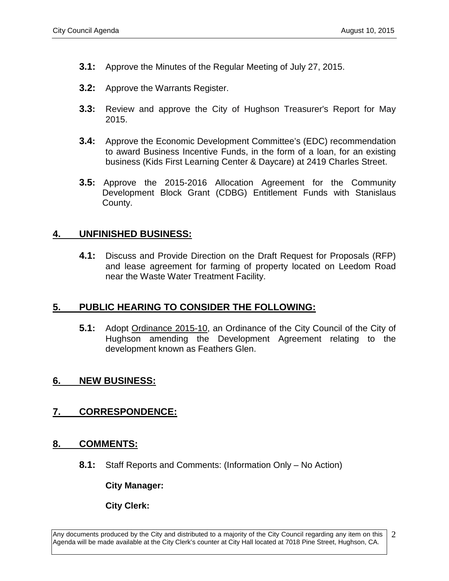- **3.1:** Approve the Minutes of the Regular Meeting of July 27, 2015.
- **3.2:** Approve the Warrants Register.
- **3.3:** Review and approve the City of Hughson Treasurer's Report for May 2015.
- **3.4:** Approve the Economic Development Committee's (EDC) recommendation to award Business Incentive Funds, in the form of a loan, for an existing business (Kids First Learning Center & Daycare) at 2419 Charles Street.
- **3.5:** Approve the 2015-2016 Allocation Agreement for the Community Development Block Grant (CDBG) Entitlement Funds with Stanislaus County.

#### **4. UNFINISHED BUSINESS:**

**4.1:** Discuss and Provide Direction on the Draft Request for Proposals (RFP) and lease agreement for farming of property located on Leedom Road near the Waste Water Treatment Facility.

### **5. PUBLIC HEARING TO CONSIDER THE FOLLOWING:**

**5.1:** Adopt Ordinance 2015-10, an Ordinance of the City Council of the City of Hughson amending the Development Agreement relating to the development known as Feathers Glen.

### **6. NEW BUSINESS:**

### **7. CORRESPONDENCE:**

#### **8. COMMENTS:**

**8.1:** Staff Reports and Comments: (Information Only – No Action)

**City Manager:** 

**City Clerk:**

Any documents produced by the City and distributed to a majority of the City Council regarding any item on this Agenda will be made available at the City Clerk's counter at City Hall located at 7018 Pine Street, Hughson, CA. 2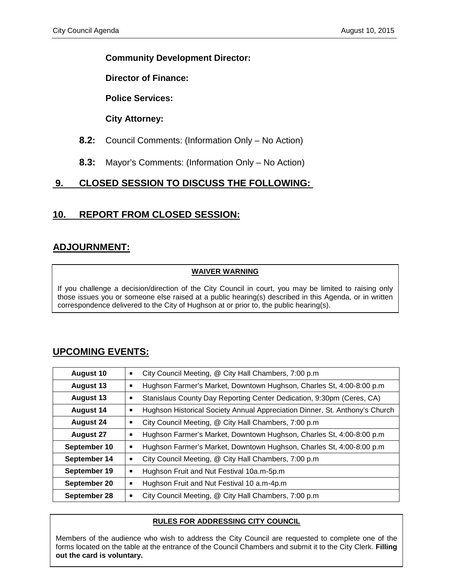#### **Community Development Director:**

**Director of Finance:**

**Police Services:**

**City Attorney:**

- **8.2:** Council Comments: (Information Only No Action)
- **8.3:** Mayor's Comments: (Information Only No Action)

# **9. CLOSED SESSION TO DISCUSS THE FOLLOWING:**

# **10. REPORT FROM CLOSED SESSION:**

# **ADJOURNMENT:**

#### **WAIVER WARNING**

If you challenge a decision/direction of the City Council in court, you may be limited to raising only those issues you or someone else raised at a public hearing(s) described in this Agenda, or in written correspondence delivered to the City of Hughson at or prior to, the public hearing(s).

# **UPCOMING EVENTS:**

| <b>August 10</b> | City Council Meeting, @ City Hall Chambers, 7:00 p.m<br>п                   |
|------------------|-----------------------------------------------------------------------------|
| <b>August 13</b> | Hughson Farmer's Market, Downtown Hughson, Charles St, 4:00-8:00 p.m.<br>٠  |
| <b>August 13</b> | Stanislaus County Day Reporting Center Dedication, 9:30pm (Ceres, CA)<br>■  |
| <b>August 14</b> | Hughson Historical Society Annual Appreciation Dinner, St. Anthony's Church |
| <b>August 24</b> | City Council Meeting, @ City Hall Chambers, 7:00 p.m                        |
| <b>August 27</b> | Hughson Farmer's Market, Downtown Hughson, Charles St, 4:00-8:00 p.m.<br>п  |
| September 10     | Hughson Farmer's Market, Downtown Hughson, Charles St, 4:00-8:00 p.m.<br>п  |
| September 14     | City Council Meeting, @ City Hall Chambers, 7:00 p.m                        |
| September 19     | Hughson Fruit and Nut Festival 10a.m-5p.m<br>Ξ                              |
| September 20     | Hughson Fruit and Nut Festival 10 a.m-4p.m<br>п                             |
| September 28     | City Council Meeting, @ City Hall Chambers, 7:00 p.m.<br>П                  |

#### **RULES FOR ADDRESSING CITY COUNCIL**

Members of the audience who wish to address the City Council are requested to complete one of the forms located on the table at the entrance of the Council Chambers and submit it to the City Clerk. Filling **out the card is voluntary.**